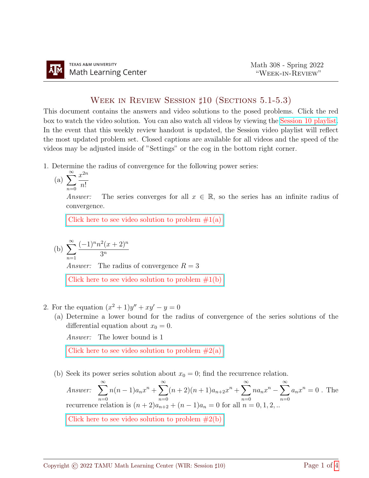## WEEK IN REVIEW SESSION  $\sharp 10$  (SECTIONS 5.1-5.3)

This document contains the answers and video solutions to the posed problems. Click the red box to watch the video solution. You can also watch all videos by viewing the [Session 10 playlist.](https://youtube.com/playlist?list=PLwFg2cC3rFdnm9pWSzgODO7x9LO1VfBMV) In the event that this weekly review handout is updated, the Session video playlist will reflect the most updated problem set. Closed captions are available for all videos and the speed of the videos may be adjusted inside of "Settings" or the cog in the bottom right corner.

1. Determine the radius of convergence for the following power series:

(a) 
$$
\sum_{n=0}^{\infty} \frac{x^{2n}}{n!}
$$

Answer: The series converges for all  $x \in \mathbb{R}$ , so the series has an infinite radius of convergence.

Click here to see video solution to problem  $#1(a)$ 

(b) 
$$
\sum_{n=1}^{\infty} \frac{(-1)^n n^2 (x+2)^n}{3^n}
$$
  
Answer: The radius of convergence  $R = 3$   
Click here to see video solution to problem #1(b)

- 2. For the equation  $(x^2 + 1)y'' + xy' y = 0$ 
	- (a) Determine a lower bound for the radius of convergence of the series solutions of the differential equation about  $x_0 = 0$ .

Answer: The lower bound is 1

Click here to see video solution to problem  $#2(a)$ 

(b) Seek its power series solution about  $x_0 = 0$ ; find the recurrence relation.

Answer: 
$$
\sum_{n=0}^{\infty} n(n-1)a_n x^n + \sum_{n=0}^{\infty} (n+2)(n+1)a_{n+2} x^n + \sum_{n=0}^{\infty} n a_n x^n - \sum_{n=0}^{\infty} a_n x^n = 0
$$
. The recurrence relation is  $(n+2)a_{n+2} + (n-1)a_n = 0$  for all  $n = 0, 1, 2, ...$   
Click here to see video solution to problem #2(b)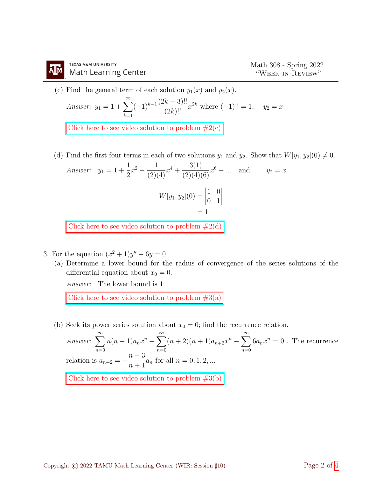- (c) Find the general term of each solution  $y_1(x)$  and  $y_2(x)$ . Answer:  $y_1 = 1 + \sum_{n=1}^{\infty}$  $k=1$  $(-1)^{k-1} \frac{(2k-3)!!}{(2k)!}$  $\frac{k-3}{(2k)!}x^{2k}$  where  $(-1)! = 1$ ,  $y_2 = x$ Click here to see video solution to problem  $#2(c)$
- (d) Find the first four terms in each of two solutions  $y_1$  and  $y_2$ . Show that  $W[y_1, y_2](0) \neq 0$ . Answer:  $y_1 = 1 +$ 1 2  $x^2 - \frac{1}{(2)}$  $\frac{1}{(2)(4)}x^4 + \frac{3(1)}{(2)(4)}$  $\frac{G(1)}{(2)(4)(6)}x^6 - ...$  and  $y_2 = x$

$$
W[y_1, y_2](0) = \begin{vmatrix} 1 & 0 \\ 0 & 1 \end{vmatrix} = 1
$$

Click here to see video solution to problem  $#2(d)$ 

- 3. For the equation  $(x^2 + 1)y'' 6y = 0$ 
	- (a) Determine a lower bound for the radius of convergence of the series solutions of the differential equation about  $x_0 = 0$ .

Answer: The lower bound is 1

Click here to see video solution to problem  $#3(a)$ 

(b) Seek its power series solution about  $x_0 = 0$ ; find the recurrence relation.

Answer:  $\sum_{n=1}^{\infty}$  $n=0$  $n(n-1)a_nx^n + \sum_{n=1}^{\infty}$  $n=0$  $(n+2)(n+1)a_{n+2}x^{n} - \sum_{n=0}^{\infty}$  $n=0$  $6a_nx^n=0$ . The recurrence relation is  $a_{n+2} =$  $n-3$  $\frac{n}{n+1}a_n$  for all  $n = 0, 1, 2, ...$ Click here to see video solution to problem  $#3(b)$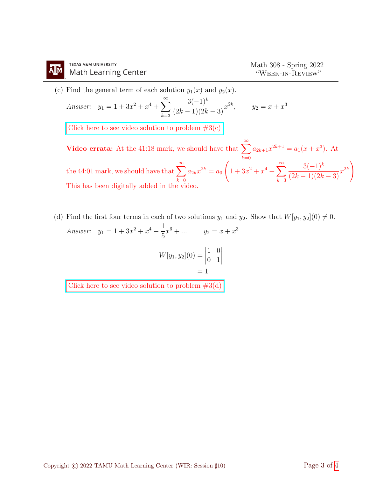(c) Find the general term of each solution  $y_1(x)$  and  $y_2(x)$ .

Answer: 
$$
y_1 = 1 + 3x^2 + x^4 + \sum_{k=3}^{\infty} \frac{3(-1)^k}{(2k-1)(2k-3)} x^{2k}
$$
,  $y_2 = x + x^3$ 

Click here to see video solution to problem  $#3(c)$ 

Video errata: At the 41:18 mark, we should have that  $\sum_{n=0}^{\infty}$  $_{k=0}$  $a_{2k+1}x^{2k+1} = a_1(x+x^3)$ . At the 44:01 mark, we should have that  $\sum^{\infty}_{n=1}$  $_{k=0}$  $a_{2k}x^{2k} = a_0$  $\sqrt{ }$  $1 + 3x^2 + x^4 + \sum_{n=1}^{\infty}$  $_{k=3}$  $3(-1)^k$  $\frac{3(-1)^k}{(2k-1)(2k-3)}x^{2k}$ . This has been digitally added in the video.

(d) Find the first four terms in each of two solutions  $y_1$  and  $y_2$ . Show that  $W[y_1, y_2](0) \neq 0$ . Answer:  $y_1 = 1 + 3x^2 + x^4 - \frac{1}{5}$ 5  $x^6 + \dots$   $y_2 = x + x^3$ 

$$
W[y_1, y_2](0) = \begin{vmatrix} 1 & 0 \\ 0 & 1 \end{vmatrix} = 1
$$

Click here to see video solution to problem  $#3(d)$